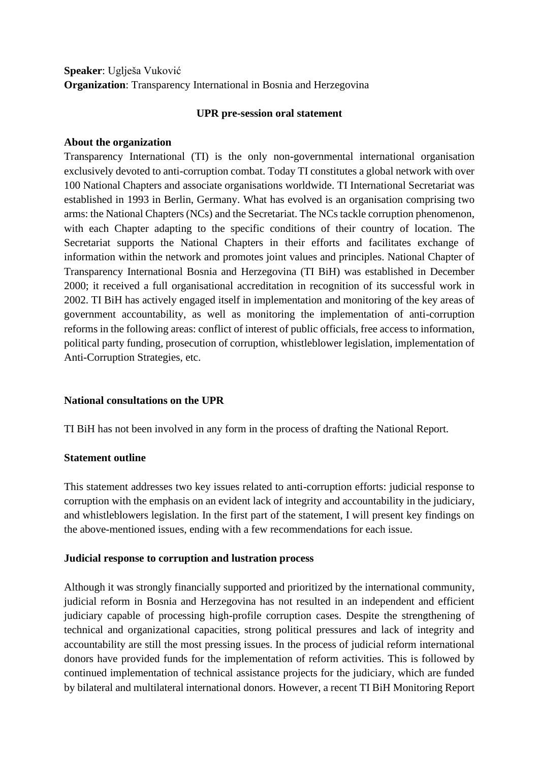# **Speaker**: Uglješa Vuković **Organization**: Transparency International in Bosnia and Herzegovina

### **UPR pre-session oral statement**

### **About the organization**

Transparency International (TI) is the only non-governmental international organisation exclusively devoted to anti-corruption combat. Today TI constitutes a global network with over 100 National Chapters and associate organisations worldwide. TI International Secretariat was established in 1993 in Berlin, Germany. What has evolved is an organisation comprising two arms: the National Chapters (NCs) and the Secretariat. The NCs tackle corruption phenomenon, with each Chapter adapting to the specific conditions of their country of location. The Secretariat supports the National Chapters in their efforts and facilitates exchange of information within the network and promotes joint values and principles. National Chapter of Transparency International Bosnia and Herzegovina (TI BiH) was established in December 2000; it received a full organisational accreditation in recognition of its successful work in 2002. TI BiH has actively engaged itself in implementation and monitoring of the key areas of government accountability, as well as monitoring the implementation of anti-corruption reforms in the following areas: conflict of interest of public officials, free access to information, political party funding, prosecution of corruption, whistleblower legislation, implementation of Anti-Corruption Strategies, etc.

# **National consultations on the UPR**

TI BiH has not been involved in any form in the process of drafting the National Report.

# **Statement outline**

This statement addresses two key issues related to anti-corruption efforts: judicial response to corruption with the emphasis on an evident lack of integrity and accountability in the judiciary, and whistleblowers legislation. In the first part of the statement, I will present key findings on the above-mentioned issues, ending with a few recommendations for each issue.

#### **Judicial response to corruption and lustration process**

Although it was strongly financially supported and prioritized by the international community, judicial reform in Bosnia and Herzegovina has not resulted in an independent and efficient judiciary capable of processing high-profile corruption cases. Despite the strengthening of technical and organizational capacities, strong political pressures and lack of integrity and accountability are still the most pressing issues. In the process of judicial reform international donors have provided funds for the implementation of reform activities. This is followed by continued implementation of technical assistance projects for the judiciary, which are funded by bilateral and multilateral international donors. However, a recent TI BiH Monitoring Report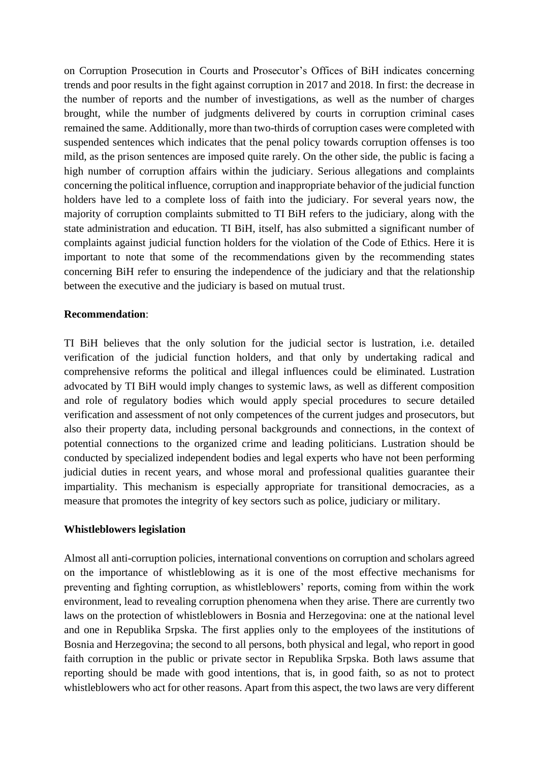on Corruption Prosecution in Courts and Prosecutor's Offices of BiH indicates concerning trends and poor results in the fight against corruption in 2017 and 2018. In first: the decrease in the number of reports and the number of investigations, as well as the number of charges brought, while the number of judgments delivered by courts in corruption criminal cases remained the same. Additionally, more than two-thirds of corruption cases were completed with suspended sentences which indicates that the penal policy towards corruption offenses is too mild, as the prison sentences are imposed quite rarely. On the other side, the public is facing a high number of corruption affairs within the judiciary. Serious allegations and complaints concerning the political influence, corruption and inappropriate behavior of the judicial function holders have led to a complete loss of faith into the judiciary. For several years now, the majority of corruption complaints submitted to TI BiH refers to the judiciary, along with the state administration and education. TI BiH, itself, has also submitted a significant number of complaints against judicial function holders for the violation of the Code of Ethics. Here it is important to note that some of the recommendations given by the recommending states concerning BiH refer to ensuring the independence of the judiciary and that the relationship between the executive and the judiciary is based on mutual trust.

#### **Recommendation**:

TI BiH believes that the only solution for the judicial sector is lustration, i.e. detailed verification of the judicial function holders, and that only by undertaking radical and comprehensive reforms the political and illegal influences could be eliminated. Lustration advocated by TI BiH would imply changes to systemic laws, as well as different composition and role of regulatory bodies which would apply special procedures to secure detailed verification and assessment of not only competences of the current judges and prosecutors, but also their property data, including personal backgrounds and connections, in the context of potential connections to the organized crime and leading politicians. Lustration should be conducted by specialized independent bodies and legal experts who have not been performing judicial duties in recent years, and whose moral and professional qualities guarantee their impartiality. This mechanism is especially appropriate for transitional democracies, as a measure that promotes the integrity of key sectors such as police, judiciary or military.

#### **Whistleblowers legislation**

Almost all anti-corruption policies, international conventions on corruption and scholars agreed on the importance of whistleblowing as it is one of the most effective mechanisms for preventing and fighting corruption, as whistleblowers' reports, coming from within the work environment, lead to revealing corruption phenomena when they arise. There are currently two laws on the protection of whistleblowers in Bosnia and Herzegovina: one at the national level and one in Republika Srpska. The first applies only to the employees of the institutions of Bosnia and Herzegovina; the second to all persons, both physical and legal, who report in good faith corruption in the public or private sector in Republika Srpska. Both laws assume that reporting should be made with good intentions, that is, in good faith, so as not to protect whistleblowers who act for other reasons. Apart from this aspect, the two laws are very different